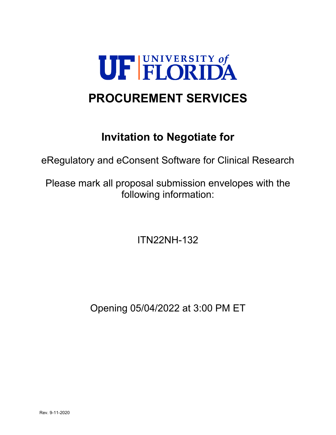

# **PROCUREMENT SERVICES**

## **Invitation to Negotiate for**

eRegulatory and eConsent Software for Clinical Research

Please mark all proposal submission envelopes with the following information:

ITN22NH-132

Opening 05/04/2022 at 3:00 PM ET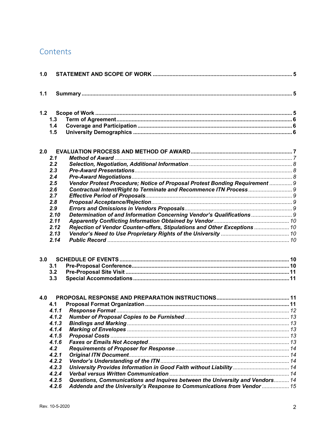## Contents

| 1.0 |                |                                                                                                                                                        |  |  |
|-----|----------------|--------------------------------------------------------------------------------------------------------------------------------------------------------|--|--|
| 1.1 |                |                                                                                                                                                        |  |  |
|     |                |                                                                                                                                                        |  |  |
|     | 1.3            |                                                                                                                                                        |  |  |
|     | 1.4            |                                                                                                                                                        |  |  |
|     | 1.5            |                                                                                                                                                        |  |  |
| 2.0 |                |                                                                                                                                                        |  |  |
|     | 2.1            |                                                                                                                                                        |  |  |
|     | 2.2            |                                                                                                                                                        |  |  |
|     | 2.3            |                                                                                                                                                        |  |  |
|     | 2.4            |                                                                                                                                                        |  |  |
|     | 2.5            | Vendor Protest Procedure; Notice of Proposal Protest Bonding Requirement  9                                                                            |  |  |
|     | 2.6            |                                                                                                                                                        |  |  |
|     | 2.7            |                                                                                                                                                        |  |  |
|     | 2.8            |                                                                                                                                                        |  |  |
|     | 2.9            |                                                                                                                                                        |  |  |
|     | 2.10           | Determination of and Information Concerning Vendor's Qualifications  9                                                                                 |  |  |
|     | 2.11           |                                                                                                                                                        |  |  |
|     | 2.12           | Rejection of Vendor Counter-offers, Stipulations and Other Exceptions  10                                                                              |  |  |
|     | 2.13           |                                                                                                                                                        |  |  |
|     | 2.14           |                                                                                                                                                        |  |  |
| 3.0 |                |                                                                                                                                                        |  |  |
|     | 3.1            |                                                                                                                                                        |  |  |
|     | 3.2            |                                                                                                                                                        |  |  |
|     | 3.3            |                                                                                                                                                        |  |  |
| 4.0 |                |                                                                                                                                                        |  |  |
|     | 4.1            |                                                                                                                                                        |  |  |
|     |                |                                                                                                                                                        |  |  |
|     |                |                                                                                                                                                        |  |  |
|     | 4.1.3          |                                                                                                                                                        |  |  |
|     | 4.1.4          |                                                                                                                                                        |  |  |
|     | 4.1.5          |                                                                                                                                                        |  |  |
|     | 4.1.6          |                                                                                                                                                        |  |  |
|     | 4.2            |                                                                                                                                                        |  |  |
|     | 4.2.1          |                                                                                                                                                        |  |  |
|     | 4.2.2          |                                                                                                                                                        |  |  |
|     | 4.2.3          | University Provides Information in Good Faith without Liability  14                                                                                    |  |  |
|     | 4.2.4          |                                                                                                                                                        |  |  |
|     | 4.2.5<br>4.2.6 | Questions, Communications and Inquires between the University and Vendors 14<br>Addenda and the University's Response to Communications from Vendor 15 |  |  |
|     |                |                                                                                                                                                        |  |  |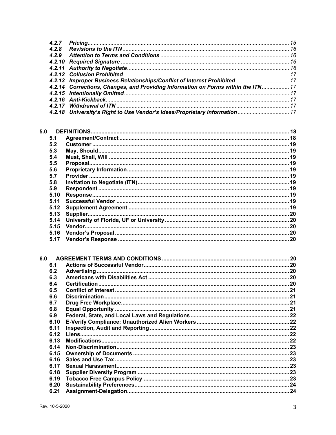|     | 4.2.7 |                                                                                   |  |
|-----|-------|-----------------------------------------------------------------------------------|--|
|     | 4.2.8 |                                                                                   |  |
|     | 4.2.9 |                                                                                   |  |
|     |       |                                                                                   |  |
|     |       |                                                                                   |  |
|     |       |                                                                                   |  |
|     |       |                                                                                   |  |
|     |       | 4.2.14 Corrections, Changes, and Providing Information on Forms within the ITN 17 |  |
|     |       |                                                                                   |  |
|     |       |                                                                                   |  |
|     |       |                                                                                   |  |
|     |       |                                                                                   |  |
|     |       |                                                                                   |  |
|     |       |                                                                                   |  |
|     |       |                                                                                   |  |
| 5.0 |       |                                                                                   |  |
|     | 5.1   |                                                                                   |  |
|     | 5.2   |                                                                                   |  |
|     | 5.3   |                                                                                   |  |
|     | 5.4   |                                                                                   |  |
|     | 5.5   |                                                                                   |  |
|     | 5.6   |                                                                                   |  |
|     | 5.7   |                                                                                   |  |
|     |       |                                                                                   |  |
|     | 5.8   |                                                                                   |  |
|     | 5.9   |                                                                                   |  |
|     | 5.10  |                                                                                   |  |
|     | 5.11  |                                                                                   |  |
|     | 5.12  |                                                                                   |  |
|     | 5.13  |                                                                                   |  |
|     | 5.14  |                                                                                   |  |
|     | 5.15  |                                                                                   |  |
|     | 5.16  |                                                                                   |  |
|     | 5.17  |                                                                                   |  |
|     |       |                                                                                   |  |
|     |       |                                                                                   |  |
| 6.0 |       |                                                                                   |  |
|     |       |                                                                                   |  |
|     | 6.1   |                                                                                   |  |
|     | 6.2   |                                                                                   |  |
|     | 6.3   |                                                                                   |  |
|     | 6.4   | <b>Certification</b>                                                              |  |
|     | 6.5   |                                                                                   |  |
|     | 6.6   |                                                                                   |  |
|     | 6.7   |                                                                                   |  |
|     | 6.8   |                                                                                   |  |
|     | 6.9   |                                                                                   |  |
|     | 6.10  |                                                                                   |  |
|     | 6.11  |                                                                                   |  |
|     |       |                                                                                   |  |
|     | 6.12  |                                                                                   |  |
|     | 6.13  |                                                                                   |  |
|     | 6.14  |                                                                                   |  |
|     | 6.15  |                                                                                   |  |
|     | 6.16  |                                                                                   |  |
|     | 6.17  |                                                                                   |  |
|     | 6.18  |                                                                                   |  |
|     | 6.19  |                                                                                   |  |
|     | 6.20  |                                                                                   |  |
|     | 6.21  |                                                                                   |  |
|     |       |                                                                                   |  |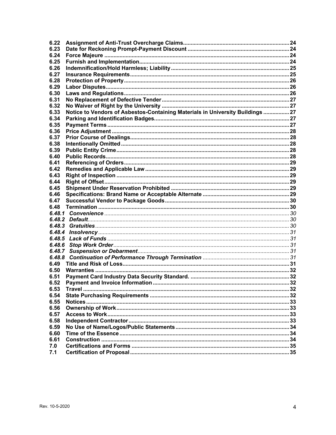| 6.23   |                                                                                |  |
|--------|--------------------------------------------------------------------------------|--|
| 6.24   |                                                                                |  |
| 6.25   |                                                                                |  |
| 6.26   |                                                                                |  |
| 6.27   |                                                                                |  |
| 6.28   |                                                                                |  |
| 6.29   |                                                                                |  |
| 6.30   |                                                                                |  |
| 6.31   |                                                                                |  |
| 6.32   |                                                                                |  |
| 6.33   | Notice to Vendors of Asbestos-Containing Materials in University Buildings  27 |  |
| 6.34   |                                                                                |  |
| 6.35   |                                                                                |  |
| 6.36   |                                                                                |  |
| 6.37   |                                                                                |  |
| 6.38   |                                                                                |  |
| 6.39   |                                                                                |  |
| 6.40   |                                                                                |  |
| 6.41   |                                                                                |  |
| 6.42   |                                                                                |  |
| 6.43   |                                                                                |  |
| 6.44   |                                                                                |  |
| 6.45   |                                                                                |  |
| 6.46   |                                                                                |  |
| 6.47   |                                                                                |  |
| 6.48   |                                                                                |  |
|        |                                                                                |  |
|        |                                                                                |  |
|        |                                                                                |  |
| 6.48.3 |                                                                                |  |
| 6.48.4 |                                                                                |  |
| 6.48.5 |                                                                                |  |
| 6.48.6 |                                                                                |  |
| 6.48.7 |                                                                                |  |
| 6.48.8 |                                                                                |  |
| 6.49   |                                                                                |  |
| 6.50   |                                                                                |  |
| 6.51   |                                                                                |  |
| 6.52   |                                                                                |  |
| 6.53   |                                                                                |  |
| 6.54   |                                                                                |  |
| 6.55   |                                                                                |  |
| 6.56   |                                                                                |  |
| 6.57   |                                                                                |  |
| 6.58   |                                                                                |  |
| 6.59   |                                                                                |  |
| 6.60   |                                                                                |  |
| 6.61   |                                                                                |  |
| 7.0    |                                                                                |  |
| 7.1    |                                                                                |  |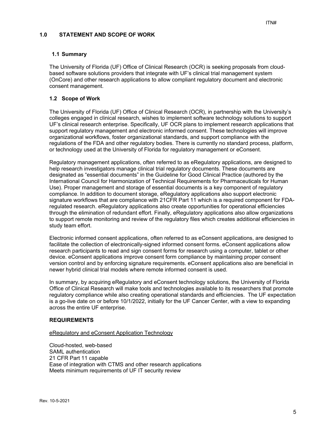## **1.0 STATEMENT AND SCOPE OF WORK**

## **1.1 Summary**

The University of Florida (UF) Office of Clinical Research (OCR) is seeking proposals from cloudbased software solutions providers that integrate with UF's clinical trial management system (OnCore) and other research applications to allow compliant regulatory document and electronic consent management.

## **1.2 Scope of Work**

The University of Florida (UF) Office of Clinical Research (OCR), in partnership with the University's colleges engaged in clinical research, wishes to implement software technology solutions to support UF's clinical research enterprise. Specifically, UF OCR plans to implement research applications that support regulatory management and electronic informed consent. These technologies will improve organizational workflows, foster organizational standards, and support compliance with the regulations of the FDA and other regulatory bodies. There is currently no standard process, platform, or technology used at the University of Florida for regulatory management or eConsent.

Regulatory management applications, often referred to as eRegulatory applications, are designed to help research investigators manage clinical trial regulatory documents. These documents are designated as "essential documents" in the Guideline for Good Clinical Practice (authored by the International Council for Harmonization of Technical Requirements for Pharmaceuticals for Human Use). Proper management and storage of essential documents is a key component of regulatory compliance. In addition to document storage, eRegulatory applications also support electronic signature workflows that are compliance with 21CFR Part 11 which is a required component for FDAregulated research. eRegulatory applications also create opportunities for operational efficiencies through the elimination of redundant effort. Finally, eRegulatory applications also allow organizations to support remote monitoring and review of the regulatory files which creates additional efficiencies in study team effort.

Electronic informed consent applications, often referred to as eConsent applications, are designed to facilitate the collection of electronically-signed informed consent forms. eConsent applications allow research participants to read and sign consent forms for research using a computer, tablet or other device. eConsent applications improve consent form compliance by maintaining proper consent version control and by enforcing signature requirements. eConsent applications also are beneficial in newer hybrid clinical trial models where remote informed consent is used.

In summary, by acquiring eRegulatory and eConsent technology solutions, the University of Florida Office of Clinical Research will make tools and technologies available to its researchers that promote regulatory compliance while also creating operational standards and efficiencies. The UF expectation is a go-live date on or before 10/1/2022, initially for the UF Cancer Center, with a view to expanding across the entire UF enterprise.

#### **REQUIREMENTS**

#### eRegulatory and eConsent Application Technology

Cloud-hosted, web-based SAML authentication 21 CFR Part 11 capable Ease of integration with CTMS and other research applications Meets minimum requirements of UF IT security review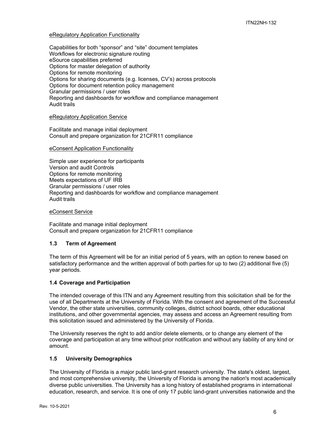## eRegulatory Application Functionality

Capabilities for both "sponsor" and "site" document templates Workflows for electronic signature routing eSource capabilities preferred Options for master delegation of authority Options for remote monitoring Options for sharing documents (e.g. licenses, CV's) across protocols Options for document retention policy management Granular permissions / user roles Reporting and dashboards for workflow and compliance management Audit trails

#### eRegulatory Application Service

Facilitate and manage initial deployment Consult and prepare organization for 21CFR11 compliance

#### eConsent Application Functionality

Simple user experience for participants Version and audit Controls Options for remote monitoring Meets expectations of UF IRB Granular permissions / user roles Reporting and dashboards for workflow and compliance management Audit trails

#### eConsent Service

Facilitate and manage initial deployment Consult and prepare organization for 21CFR11 compliance

#### **1.3 Term of Agreement**

The term of this Agreement will be for an initial period of 5 years, with an option to renew based on satisfactory performance and the written approval of both parties for up to two (2) additional five (5) year periods.

#### **1.4 Coverage and Participation**

The intended coverage of this ITN and any Agreement resulting from this solicitation shall be for the use of all Departments at the University of Florida. With the consent and agreement of the Successful Vendor, the other state universities, community colleges, district school boards, other educational institutions, and other governmental agencies, may assess and access an Agreement resulting from this solicitation issued and administered by the University of Florida.

The University reserves the right to add and/or delete elements, or to change any element of the coverage and participation at any time without prior notification and without any liability of any kind or amount.

#### **1.5 University Demographics**

The University of Florida is a major public land-grant research university. The state's oldest, largest, and most comprehensive university, the University of Florida is among the nation's most academically diverse public universities. The University has a long history of established programs in international education, research, and service. It is one of only 17 public land-grant universities nationwide and the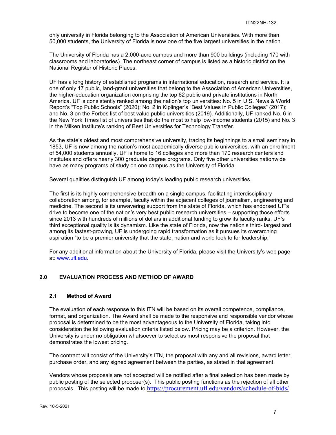only university in Florida belonging to the Association of American Universities. With more than 50,000 students, the University of Florida is now one of the five largest universities in the nation.

The University of Florida has a 2,000-acre campus and more than 900 buildings (including 170 with classrooms and laboratories). The northeast corner of campus is listed as a historic district on the National Register of Historic Places.

UF has a long history of established programs in international education, research and service. It is one of only 17 public, land-grant universities that belong to the Association of American Universities, the higher-education organization comprising the top 62 public and private institutions in North America. UF is consistently ranked among the nation's top universities: No. 5 in U.S. News & World Report's "Top Public Schools" (2020); No. 2 in Kiplinger's "Best Values in Public Colleges" (2017); and No. 3 on the Forbes list of best value public universities (2019). Additionally, UF ranked No. 6 in the New York Times list of universities that do the most to help low-income students (2015) and No. 3 in the Milken Institute's ranking of Best Universities for Technology Transfer.

As the state's oldest and most comprehensive university, tracing its beginnings to a small seminary in 1853, UF is now among the nation's most academically diverse public universities. with an enrollment of 54,000 students annually. UF is home to 16 colleges and more than 170 research centers and institutes and offers nearly 300 graduate degree programs. Only five other universities nationwide have as many programs of study on one campus as the University of Florida.

Several qualities distinguish UF among today's leading public research universities.

The first is its highly comprehensive breadth on a single campus, facilitating interdisciplinary collaboration among, for example, faculty within the adjacent colleges of journalism, engineering and medicine. The second is its unwavering support from the state of Florida, which has endorsed UF's drive to become one of the nation's very best public research universities – supporting those efforts since 2013 with hundreds of millions of dollars in additional funding to grow its faculty ranks. UF's third exceptional quality is its dynamism. Like the state of Florida, now the nation's third- largest and among its fastest-growing, UF is undergoing rapid transformation as it pursues its overarching aspiration "to be a premier university that the state, nation and world look to for leadership."

For any additional information about the University of Florida, please visit the University's web page at: www.ufl.edu.

## **2.0 EVALUATION PROCESS AND METHOD OF AWARD**

#### **2.1 Method of Award**

The evaluation of each response to this ITN will be based on its overall competence, compliance, format, and organization. The Award shall be made to the responsive and responsible vendor whose proposal is determined to be the most advantageous to the University of Florida, taking into consideration the following evaluation criteria listed below. Pricing may be a criterion. However, the University is under no obligation whatsoever to select as most responsive the proposal that demonstrates the lowest pricing.

The contract will consist of the University's ITN, the proposal with any and all revisions, award letter, purchase order, and any signed agreement between the parties, as stated in that agreement.

Vendors whose proposals are not accepted will be notified after a final selection has been made by public posting of the selected proposer(s). This public posting functions as the rejection of all other proposals. This posting will be made to https://procurement.ufl.edu/vendors/schedule-of-bids/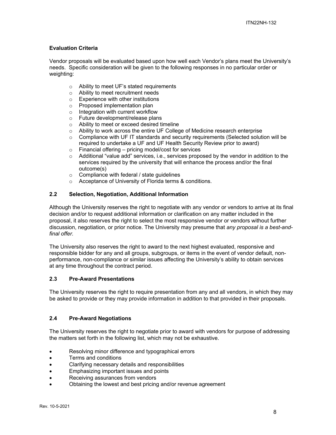## **Evaluation Criteria**

Vendor proposals will be evaluated based upon how well each Vendor's plans meet the University's needs. Specific consideration will be given to the following responses in no particular order or weighting:

- o Ability to meet UF's stated requirements
- o Ability to meet recruitment needs
- o Experience with other institutions
- o Proposed implementation plan
- $\circ$  Integration with current workflow
- o Future development/release plans
- o Ability to meet or exceed desired timeline
- o Ability to work across the entire UF College of Medicine research enterprise
- $\circ$  Compliance with UF IT standards and security requirements (Selected solution will be required to undertake a UF and UF Health Security Review prior to award)
- o Financial offering pricing model/cost for services
- $\circ$  Additional "value add" services, i.e., services proposed by the vendor in addition to the services required by the university that will enhance the process and/or the final outcome(s)
- o Compliance with federal / state guidelines
- o Acceptance of University of Florida terms & conditions.

## **2.2 Selection, Negotiation, Additional Information**

Although the University reserves the right to negotiate with any vendor or vendors to arrive at its final decision and/or to request additional information or clarification on any matter included in the proposal, it also reserves the right to select the most responsive vendor or vendors without further discussion, negotiation, or prior notice. The University may presume that *any proposal is a best-andfinal offer.* 

The University also reserves the right to award to the next highest evaluated, responsive and responsible bidder for any and all groups, subgroups, or items in the event of vendor default, nonperformance, non-compliance or similar issues affecting the University's ability to obtain services at any time throughout the contract period.

#### **2.3 Pre-Award Presentations**

The University reserves the right to require presentation from any and all vendors, in which they may be asked to provide or they may provide information in addition to that provided in their proposals.

## **2.4 Pre-Award Negotiations**

The University reserves the right to negotiate prior to award with vendors for purpose of addressing the matters set forth in the following list, which may not be exhaustive.

- Resolving minor difference and typographical errors
- Terms and conditions
- Clarifying necessary details and responsibilities
- Emphasizing important issues and points
- Receiving assurances from vendors
- Obtaining the lowest and best pricing and/or revenue agreement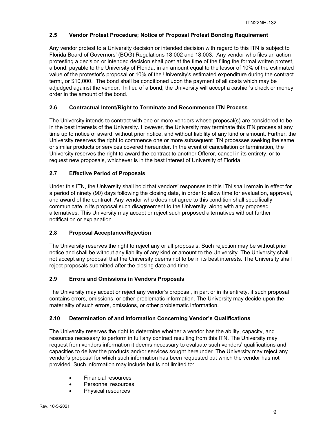## **2.5 Vendor Protest Procedure; Notice of Proposal Protest Bonding Requirement**

Any vendor protest to a University decision or intended decision with regard to this ITN is subject to Florida Board of Governors' (BOG) Regulations 18.002 and 18.003. Any vendor who files an action protesting a decision or intended decision shall post at the time of the filing the formal written protest, a bond, payable to the University of Florida, in an amount equal to the lessor of 10% of the estimated value of the protestor's proposal or 10% of the University's estimated expenditure during the contract term:, or \$10,000. The bond shall be conditioned upon the payment of all costs which may be adjudged against the vendor. In lieu of a bond, the University will accept a cashier's check or money order in the amount of the bond.

## **2.6 Contractual Intent/Right to Terminate and Recommence ITN Process**

The University intends to contract with one or more vendors whose proposal(s) are considered to be in the best interests of the University. However, the University may terminate this ITN process at any time up to notice of award, without prior notice, and without liability of any kind or amount. Further, the University reserves the right to commence one or more subsequent ITN processes seeking the same or similar products or services covered hereunder. In the event of cancellation or termination, the University reserves the right to award the contract to another Offeror, cancel in its entirety, or to request new proposals, whichever is in the best interest of University of Florida.

## **2.7 Effective Period of Proposals**

Under this ITN, the University shall hold that vendors' responses to this ITN shall remain in effect for a period of ninety (90) days following the closing date, in order to allow time for evaluation, approval, and award of the contract. Any vendor who does not agree to this condition shall specifically communicate in its proposal such disagreement to the University, along with any proposed alternatives. This University may accept or reject such proposed alternatives without further notification or explanation.

## **2.8 Proposal Acceptance/Rejection**

The University reserves the right to reject any or all proposals. Such rejection may be without prior notice and shall be without any liability of any kind or amount to the University. The University shall not accept any proposal that the University deems not to be in its best interests. The University shall reject proposals submitted after the closing date and time.

## **2.9 Errors and Omissions in Vendors Proposals**

The University may accept or reject any vendor's proposal, in part or in its entirety, if such proposal contains errors, omissions, or other problematic information. The University may decide upon the materiality of such errors, omissions, or other problematic information.

## **2.10 Determination of and Information Concerning Vendor's Qualifications**

The University reserves the right to determine whether a vendor has the ability, capacity, and resources necessary to perform in full any contract resulting from this ITN. The University may request from vendors information it deems necessary to evaluate such vendors' qualifications and capacities to deliver the products and/or services sought hereunder. The University may reject any vendor's proposal for which such information has been requested but which the vendor has not provided. Such information may include but is not limited to:

- Financial resources
- Personnel resources
- Physical resources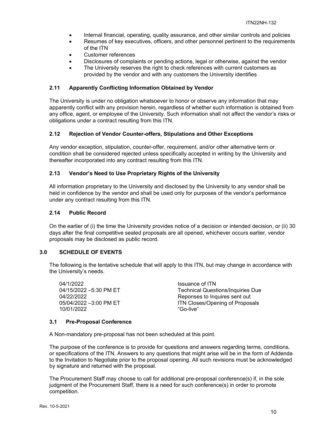- Internal financial, operating, quality assurance, and other similar controls and policies
- Resumes of key executives, officers, and other personnel pertinent to the requirements of the ITN
- Customer references
- Disclosures of complaints or pending actions, legal or otherwise, against the vendor
- The University reserves the right to check references with current customers as provided by the vendor and with any customers the University identifies

## **2.11 Apparently Conflicting Information Obtained by Vendor**

The University is under no obligation whatsoever to honor or observe any information that may apparently conflict with any provision herein, regardless of whether such information is obtained from any office, agent, or employee of the University. Such information shall not affect the vendor's risks or obligations under a contract resulting from this ITN.

## **2.12 Rejection of Vendor Counter-offers, Stipulations and Other Exceptions**

Any vendor exception, stipulation, counter-offer, requirement, and/or other alternative term or condition shall be considered rejected unless specifically accepted in writing by the University and thereafter incorporated into any contract resulting from this ITN.

## **2.13 Vendor's Need to Use Proprietary Rights of the University**

All information proprietary to the University and disclosed by the University to any vendor shall be held in confidence by the vendor and shall be used only for purposes of the vendor's performance under any contract resulting from this ITN.

## **2.14 Public Record**

On the earlier of (i) the time the University provides notice of a decision or intended decision, or (ii) 30 days after the final competitive sealed proposals are all opened, whichever occurs earlier, vendor proposals may be disclosed as public record.

## **3.0 SCHEDULE OF EVENTS**

The following is the tentative schedule that will apply to this ITN, but may change in accordance with the University's needs.

04/1/2022<br>04/15/2022 -5:30 PM ET The Technical Quest 10/01/2022 "Go-live"

Technical Questions/Inquiries Due 04/22/2022 Reponses to Inquires sent out 05/04/2022 -3:00 PM ET **ITS** ITN Closes/Opening of Proposals

#### **3.1 Pre-Proposal Conference**

A Non-mandatory pre-proposal has not been scheduled at this point.

The purpose of the conference is to provide for questions and answers regarding terms, conditions, or specifications of the ITN. Answers to any questions that might arise will be in the form of Addenda to the Invitation to Negotiate prior to the proposal opening. All such revisions must be acknowledged by signature and returned with the proposal.

The Procurement Staff may choose to call for additional pre-proposal conference(s) if, in the sole judgment of the Procurement Staff, there is a need for such conference(s) in order to promote competition.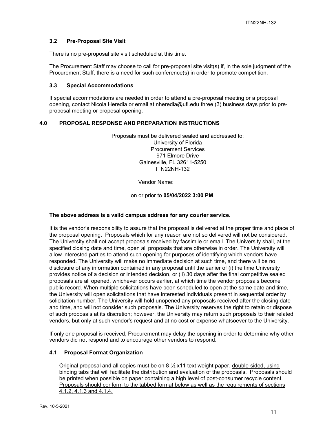## **3.2 Pre-Proposal Site Visit**

There is no pre-proposal site visit scheduled at this time.

The Procurement Staff may choose to call for pre-proposal site visit(s) if, in the sole judgment of the Procurement Staff, there is a need for such conference(s) in order to promote competition.

#### **3.3 Special Accommodations**

If special accommodations are needed in order to attend a pre-proposal meeting or a proposal opening, contact Nicola Heredia or email at nheredia@ufl.edu three (3) business days prior to preproposal meeting or proposal opening.

#### **4.0 PROPOSAL RESPONSE AND PREPARATION INSTRUCTIONS**

Proposals must be delivered sealed and addressed to: University of Florida Procurement Services 971 Elmore Drive Gainesville, FL 32611-5250 ITN22NH-132

Vendor Name:

#### on or prior to **05/04/2022 3:00 PM**.

## **The above address is a valid campus address for any courier service.**

It is the vendor's responsibility to assure that the proposal is delivered at the proper time and place of the proposal opening. Proposals which for any reason are not so delivered will not be considered. The University shall not accept proposals received by facsimile or email. The University shall, at the specified closing date and time, open all proposals that are otherwise in order. The University will allow interested parties to attend such opening for purposes of identifying which vendors have responded. The University will make no immediate decision at such time, and there will be no disclosure of any information contained in any proposal until the earlier of (i) the time University provides notice of a decision or intended decision, or (ii) 30 days after the final competitive sealed proposals are all opened, whichever occurs earlier, at which time the vendor proposals become public record. When multiple solicitations have been scheduled to open at the same date and time, the University will open solicitations that have interested individuals present in sequential order by solicitation number. The University will hold unopened any proposals received after the closing date and time, and will not consider such proposals. The University reserves the right to retain or dispose of such proposals at its discretion; however, the University may return such proposals to their related vendors, but only at such vendor's request and at no cost or expense whatsoever to the University.

If only one proposal is received, Procurement may delay the opening in order to determine why other vendors did not respond and to encourage other vendors to respond.

#### **4.1 Proposal Format Organization**

Original proposal and all copies must be on 8-½ x11 text weight paper, double-sided, using binding tabs that will facilitate the distribution and evaluation of the proposals. Proposals should be printed when possible on paper containing a high level of post-consumer recycle content. Proposals should conform to the tabbed format below as well as the requirements of sections 4.1.2, 4.1.3 and 4.1.4.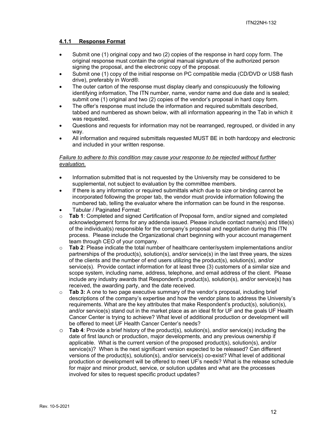## **4.1.1 Response Format**

- Submit one (1) original copy and two (2) copies of the response in hard copy form. The original response must contain the original manual signature of the authorized person signing the proposal, and the electronic copy of the proposal.
- Submit one (1) copy of the initial response on PC compatible media (CD/DVD or USB flash drive), preferably in Word®.
- The outer carton of the response must display clearly and conspicuously the following identifying information, The ITN number, name, vendor name and due date and is sealed; submit one (1) original and two (2) copies of the vendor's proposal in hard copy form.
- The offer's response must include the information and required submittals described, tabbed and numbered as shown below, with all information appearing in the Tab in which it was requested.
- Questions and requests for information may not be rearranged, regrouped, or divided in any way.
- All information and required submittals requested MUST BE in both hardcopy and electronic and included in your written response.

## *Failure to adhere to this condition may cause your response to be rejected without further evaluation.*

- Information submitted that is not requested by the University may be considered to be supplemental, not subject to evaluation by the committee members.
- If there is any information or required submittals which due to size or binding cannot be incorporated following the proper tab, the vendor must provide information following the numbered tab, telling the evaluator where the information can be found in the response.
- Tabular / Paginated Format:
- o **Tab 1**: Completed and signed Certification of Proposal form, and/or signed and completed acknowledgement forms for any addenda issued. Please include contact name(s) and title(s) of the individual(s) responsible for the company's proposal and negotiation during this ITN process. Please include the Organizational chart beginning with your account management team through CEO of your company.
- Tab 2: Please indicate the total number of healthcare center/system implementations and/or partnerships of the product(s), solution(s), and/or service(s) in the last three years, the sizes of the clients and the number of end users utilizing the product(s), solution(s), and/or service(s). Provide contact information for at least three (3) customers of a similar size and scope system, including name, address, telephone, and email address of the client. Please include any industry awards that Respondent's product(s), solution(s), and/or service(s) has received, the awarding party, and the date received.
- o **Tab 3:** A one to two page executive summary of the vendor's proposal, including brief descriptions of the company's expertise and how the vendor plans to address the University's requirements. What are the key attributes that make Respondent's product(s), solution(s), and/or service(s) stand out in the market place as an ideal fit for UF and the goals UF Health Cancer Center is trying to achieve? What level of additional production or development will be offered to meet UF Health Cancer Center's needs?
- o **Tab 4**: Provide a brief history of the product(s), solution(s), and/or service(s) including the date of first launch or production, major developments, and any previous ownership if applicable. What is the current version of the proposed product(s), solution(s), and/or service(s)? When is the next significant version expected to be released? Can different versions of the product(s), solution(s), and/or service(s) co-exist? What level of additional production or development will be offered to meet UF's needs? What is the release schedule for major and minor product, service, or solution updates and what are the processes involved for sites to request specific product updates?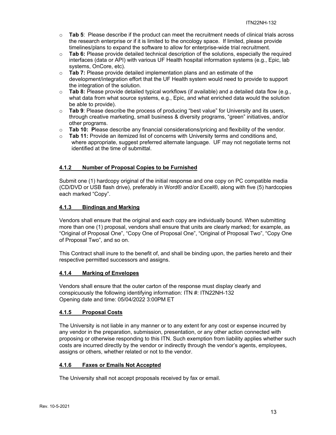- o **Tab 5**: Please describe if the product can meet the recruitment needs of clinical trials across the research enterprise or if it is limited to the oncology space. If limited, please provide timelines/plans to expand the software to allow for enterprise-wide trial recruitment.
- o **Tab 6:** Please provide detailed technical description of the solutions, especially the required interfaces (data or API) with various UF Health hospital information systems (e.g., Epic, lab systems, OnCore, etc).
- o **Tab 7:** Please provide detailed implementation plans and an estimate of the development/integration effort that the UF Health system would need to provide to support the integration of the solution.
- o **Tab 8:** Please provide detailed typical workflows (if available) and a detailed data flow (e.g., what data from what source systems, e.g., Epic, and what enriched data would the solution be able to provide).
- o **Tab 9**: Please describe the process of producing "best value" for University and its users, through creative marketing, small business & diversity programs, "green" initiatives, and/or other programs.
- o **Tab 10: P**lease describe any financial considerations/pricing and flexibility of the vendor.
- o **Tab 11:** Provide an itemized list of concerns with University terms and conditions and, where appropriate, suggest preferred alternate language. UF may not negotiate terms not identified at the time of submittal.

## **4.1.2 Number of Proposal Copies to be Furnished**

Submit one (1) hardcopy original of the initial response and one copy on PC compatible media (CD/DVD or USB flash drive), preferably in Word® and/or Excel®, along with five (5) hardcopies each marked "Copy".

## **4.1.3 Bindings and Marking**

Vendors shall ensure that the original and each copy are individually bound. When submitting more than one (1) proposal, vendors shall ensure that units are clearly marked; for example, as "Original of Proposal One", "Copy One of Proposal One", "Original of Proposal Two", "Copy One of Proposal Two", and so on.

This Contract shall inure to the benefit of, and shall be binding upon, the parties hereto and their respective permitted successors and assigns.

## **4.1.4 Marking of Envelopes**

Vendors shall ensure that the outer carton of the response must display clearly and conspicuously the following identifying information: ITN #: ITN22NH-132 Opening date and time: 05/04/2022 3:00PM ET

## **4.1.5 Proposal Costs**

The University is not liable in any manner or to any extent for any cost or expense incurred by any vendor in the preparation, submission, presentation, or any other action connected with proposing or otherwise responding to this ITN. Such exemption from liability applies whether such costs are incurred directly by the vendor or indirectly through the vendor's agents, employees, assigns or others, whether related or not to the vendor.

## **4.1.6 Faxes or Emails Not Accepted**

The University shall not accept proposals received by fax or email.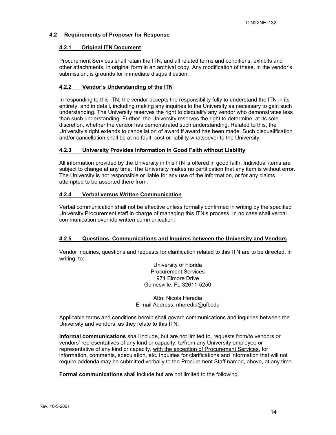#### **4.2 Requirements of Proposer for Response**

#### **4.2.1 Original ITN Document**

Procurement Services shall retain the ITN, and all related terms and conditions, exhibits and other attachments, in original form in an archival copy. Any modification of these, in the vendor's submission, is grounds for immediate disqualification.

## **4.2.2 Vendor's Understanding of the ITN**

In responding to this ITN, the vendor accepts the responsibility fully to understand the ITN in its entirety, and in detail, including making any inquiries to the University as necessary to gain such understanding. The University reserves the right to disqualify any vendor who demonstrates less than such understanding. Further, the University reserves the right to determine, at its sole discretion, whether the vendor has demonstrated such understanding. Related to this, the University's right extends to cancellation of award if award has been made. Such disqualification and/or cancellation shall be at no fault, cost or liability whatsoever to the University.

## **4.2.3 University Provides Information in Good Faith without Liability**

All information provided by the University in this ITN is offered in good faith. Individual items are subject to change at any time. The University makes no certification that any item is without error. The University is not responsible or liable for any use of the information, or for any claims attempted to be asserted there from.

## **4.2.4 Verbal versus Written Communication**

Verbal communication shall not be effective unless formally confirmed in writing by the specified University Procurement staff in charge of managing this ITN's process. In no case shall verbal communication override written communication.

#### **4.2.5 Questions, Communications and Inquires between the University and Vendors**

Vendor inquiries, questions and requests for clarification related to this ITN are to be directed, in writing, to:

> University of Florida Procurement Services 971 Elmore Drive Gainesville, FL 32611-5250

Attn: Nicola Heredia E-mail Address: nheredia@ufl.edu

Applicable terms and conditions herein shall govern communications and inquiries between the University and vendors, as they relate to this ITN.

**Informal communications** shall include, but are not limited to, requests from/to vendors or vendors' representatives of any kind or capacity, to/from any University employee or representative of any kind or capacity, with the exception of Procurement Services, for information, comments, speculation, etc. Inquiries for clarifications and information that will not require addenda may be submitted verbally to the Procurement Staff named, above, at any time.

**Formal communications** shall include but are not limited to the following.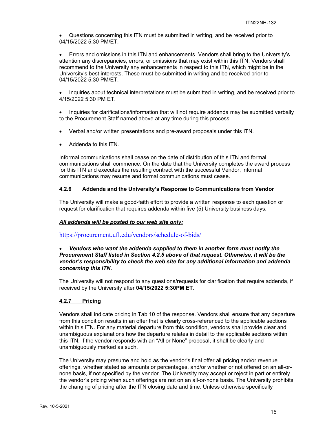Questions concerning this ITN must be submitted in writing, and be received prior to 04/15/2022 5:30 PM/ET.

 Errors and omissions in this ITN and enhancements. Vendors shall bring to the University's attention any discrepancies, errors, or omissions that may exist within this ITN. Vendors shall recommend to the University any enhancements in respect to this ITN, which might be in the University's best interests. These must be submitted in writing and be received prior to 04/15/2022 5:30 PM/ET.

• Inquiries about technical interpretations must be submitted in writing, and be received prior to 4/15/2022 5:30 PM ET.

• Inquiries for clarifications/information that will not require addenda may be submitted verbally to the Procurement Staff named above at any time during this process.

- Verbal and/or written presentations and pre-award proposals under this ITN.
- Addenda to this ITN.

Informal communications shall cease on the date of distribution of this ITN and formal communications shall commence. On the date that the University completes the award process for this ITN and executes the resulting contract with the successful Vendor, informal communications may resume and formal communications must cease.

## **4.2.6 Addenda and the University's Response to Communications from Vendor**

The University will make a good-faith effort to provide a written response to each question or request for clarification that requires addenda within five (5) University business days.

#### *All addenda will be posted to our web site only:*

https://procurement.ufl.edu/vendors/schedule-of-bids/

#### *Vendors who want the addenda supplied to them in another form must notify the Procurement Staff listed in Section 4.2.5 above of that request. Otherwise, it will be the vendor's responsibility to check the web site for any additional information and addenda concerning this ITN.*

The University will not respond to any questions/requests for clarification that require addenda, if received by the University after **04/15/2022 5:30PM ET**.

#### **4.2.7 Pricing**

Vendors shall indicate pricing in Tab 10 of the response. Vendors shall ensure that any departure from this condition results in an offer that is clearly cross-referenced to the applicable sections within this ITN. For any material departure from this condition, vendors shall provide clear and unambiguous explanations how the departure relates in detail to the applicable sections within this ITN. If the vendor responds with an "All or None" proposal, it shall be clearly and unambiguously marked as such.

The University may presume and hold as the vendor's final offer all pricing and/or revenue offerings, whether stated as amounts or percentages, and/or whether or not offered on an all-ornone basis, if not specified by the vendor. The University may accept or reject in part or entirely the vendor's pricing when such offerings are not on an all-or-none basis. The University prohibits the changing of pricing after the ITN closing date and time. Unless otherwise specifically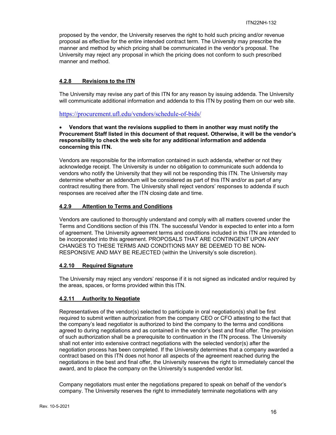proposed by the vendor, the University reserves the right to hold such pricing and/or revenue proposal as effective for the entire intended contract term. The University may prescribe the manner and method by which pricing shall be communicated in the vendor's proposal. The University may reject any proposal in which the pricing does not conform to such prescribed manner and method.

## **4.2.8 Revisions to the ITN**

The University may revise any part of this ITN for any reason by issuing addenda. The University will communicate additional information and addenda to this ITN by posting them on our web site.

https://procurement.ufl.edu/vendors/schedule-of-bids/

## **Vendors that want the revisions supplied to them in another way must notify the Procurement Staff listed in this document of that request. Otherwise, it will be the vendor's responsibility to check the web site for any additional information and addenda concerning this ITN.**

Vendors are responsible for the information contained in such addenda, whether or not they acknowledge receipt. The University is under no obligation to communicate such addenda to vendors who notify the University that they will not be responding this ITN. The University may determine whether an addendum will be considered as part of this ITN and/or as part of any contract resulting there from. The University shall reject vendors' responses to addenda if such responses are received after the ITN closing date and time.

## **4.2.9 Attention to Terms and Conditions**

Vendors are cautioned to thoroughly understand and comply with all matters covered under the Terms and Conditions section of this ITN. The successful Vendor is expected to enter into a form of agreement. The University agreement terms and conditions included in this ITN are intended to be incorporated into this agreement. PROPOSALS THAT ARE CONTINGENT UPON ANY CHANGES TO THESE TERMS AND CONDITIONS MAY BE DEEMED TO BE NON-RESPONSIVE AND MAY BE REJECTED (within the University's sole discretion).

## **4.2.10 Required Signature**

The University may reject any vendors' response if it is not signed as indicated and/or required by the areas, spaces, or forms provided within this ITN.

## **4.2.11 Authority to Negotiate**

Representatives of the vendor(s) selected to participate in oral negotiation(s) shall be first required to submit written authorization from the company CEO or CFO attesting to the fact that the company's lead negotiator is authorized to bind the company to the terms and conditions agreed to during negotiations and as contained in the vendor's best and final offer. The provision of such authorization shall be a prerequisite to continuation in the ITN process. The University shall not enter into extensive contract negotiations with the selected vendor(s) after the negotiation process has been completed. If the University determines that a company awarded a contract based on this ITN does not honor all aspects of the agreement reached during the negotiations in the best and final offer, the University reserves the right to immediately cancel the award, and to place the company on the University's suspended vendor list.

Company negotiators must enter the negotiations prepared to speak on behalf of the vendor's company. The University reserves the right to immediately terminate negotiations with any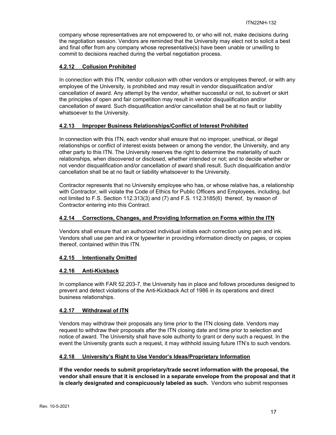company whose representatives are not empowered to, or who will not, make decisions during the negotiation session. Vendors are reminded that the University may elect not to solicit a best and final offer from any company whose representative(s) have been unable or unwilling to commit to decisions reached during the verbal negotiation process.

## **4.2.12 Collusion Prohibited**

In connection with this ITN, vendor collusion with other vendors or employees thereof, or with any employee of the University, is prohibited and may result in vendor disqualification and/or cancellation of award. Any attempt by the vendor, whether successful or not, to subvert or skirt the principles of open and fair competition may result in vendor disqualification and/or cancellation of award. Such disqualification and/or cancellation shall be at no fault or liability whatsoever to the University.

## **4.2.13 Improper Business Relationships/Conflict of Interest Prohibited**

In connection with this ITN, each vendor shall ensure that no improper, unethical, or illegal relationships or conflict of interest exists between or among the vendor, the University, and any other party to this ITN. The University reserves the right to determine the materiality of such relationships, when discovered or disclosed, whether intended or not; and to decide whether or not vendor disqualification and/or cancellation of award shall result. Such disqualification and/or cancellation shall be at no fault or liability whatsoever to the University.

Contractor represents that no University employee who has, or whose relative has, a relationship with Contractor, will violate the Code of Ethics for Public Officers and Employees, including, but not limited to F.S. Section 112.313(3) and (7) and F.S. 112.3185(6) thereof, by reason of Contractor entering into this Contract.

## **4.2.14 Corrections, Changes, and Providing Information on Forms within the ITN**

Vendors shall ensure that an authorized individual initials each correction using pen and ink. Vendors shall use pen and ink or typewriter in providing information directly on pages, or copies thereof, contained within this ITN.

## **4.2.15 Intentionally Omitted**

#### **4.2.16 Anti-Kickback**

In compliance with FAR 52.203-7, the University has in place and follows procedures designed to prevent and detect violations of the Anti-Kickback Act of 1986 in its operations and direct business relationships.

#### **4.2.17 Withdrawal of ITN**

Vendors may withdraw their proposals any time prior to the ITN closing date. Vendors may request to withdraw their proposals after the ITN closing date and time prior to selection and notice of award. The University shall have sole authority to grant or deny such a request. In the event the University grants such a request, it may withhold issuing future ITN's to such vendors.

#### **4.2.18 University's Right to Use Vendor's Ideas/Proprietary Information**

**If the vendor needs to submit proprietary/trade secret information with the proposal, the vendor shall ensure that it is enclosed in a separate envelope from the proposal and that it is clearly designated and conspicuously labeled as such.** Vendors who submit responses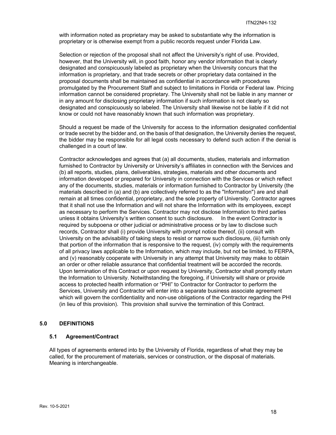with information noted as proprietary may be asked to substantiate why the information is proprietary or is otherwise exempt from a public records request under Florida Law.

Selection or rejection of the proposal shall not affect the University's right of use. Provided, however, that the University will, in good faith, honor any vendor information that is clearly designated and conspicuously labeled as proprietary when the University concurs that the information is proprietary, and that trade secrets or other proprietary data contained in the proposal documents shall be maintained as confidential in accordance with procedures promulgated by the Procurement Staff and subject to limitations in Florida or Federal law. Pricing information cannot be considered proprietary. The University shall not be liable in any manner or in any amount for disclosing proprietary information if such information is not clearly so designated and conspicuously so labeled. The University shall likewise not be liable if it did not know or could not have reasonably known that such information was proprietary.

Should a request be made of the University for access to the information designated confidential or trade secret by the bidder and, on the basis of that designation, the University denies the request, the bidder may be responsible for all legal costs necessary to defend such action if the denial is challenged in a court of law.

Contractor acknowledges and agrees that (a) all documents, studies, materials and information furnished to Contractor by University or University's affiliates in connection with the Services and (b) all reports, studies, plans, deliverables, strategies, materials and other documents and information developed or prepared for University in connection with the Services or which reflect any of the documents, studies, materials or information furnished to Contractor by University (the materials described in (a) and (b) are collectively referred to as the "Information") are and shall remain at all times confidential, proprietary, and the sole property of University. Contractor agrees that it shall not use the Information and will not share the Information with its employees, except as necessary to perform the Services. Contractor may not disclose Information to third parties unless it obtains University's written consent to such disclosure. In the event Contractor is required by subpoena or other judicial or administrative process or by law to disclose such records, Contractor shall (i) provide University with prompt notice thereof, (ii) consult with University on the advisability of taking steps to resist or narrow such disclosure, (iii) furnish only that portion of the information that is responsive to the request, (iv) comply with the requirements of all privacy laws applicable to the Information, which may include, but not be limited, to FERPA, and (v) reasonably cooperate with University in any attempt that University may make to obtain an order or other reliable assurance that confidential treatment will be accorded the records. Upon termination of this Contract or upon request by University, Contractor shall promptly return the Information to University. Notwithstanding the foregoing, if University will share or provide access to protected health information or "PHI" to Contractor for Contractor to perform the Services, University and Contractor will enter into a separate business associate agreement which will govern the confidentiality and non-use obligations of the Contractor regarding the PHI (in lieu of this provision). This provision shall survive the termination of this Contract.

#### **5.0 DEFINITIONS**

#### **5.1 Agreement/Contract**

All types of agreements entered into by the University of Florida, regardless of what they may be called, for the procurement of materials, services or construction, or the disposal of materials. Meaning is interchangeable.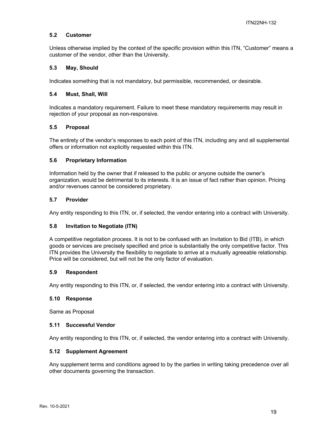#### **5.2 Customer**

Unless otherwise implied by the context of the specific provision within this ITN, "Customer" means a customer of the vendor, other than the University.

#### **5.3 May, Should**

Indicates something that is not mandatory, but permissible, recommended, or desirable.

#### **5.4 Must, Shall, Will**

Indicates a mandatory requirement. Failure to meet these mandatory requirements may result in rejection of your proposal as non-responsive.

#### **5.5 Proposal**

The entirety of the vendor's responses to each point of this ITN, including any and all supplemental offers or information not explicitly requested within this ITN.

#### **5.6 Proprietary Information**

Information held by the owner that if released to the public or anyone outside the owner's organization, would be detrimental to its interests. It is an issue of fact rather than opinion. Pricing and/or revenues cannot be considered proprietary.

#### **5.7 Provider**

Any entity responding to this ITN, or, if selected, the vendor entering into a contract with University.

#### **5.8 Invitation to Negotiate (ITN)**

A competitive negotiation process. It is not to be confused with an Invitation to Bid (ITB), in which goods or services are precisely specified and price is substantially the only competitive factor. This ITN provides the University the flexibility to negotiate to arrive at a mutually agreeable relationship. Price will be considered, but will not be the only factor of evaluation.

#### **5.9 Respondent**

Any entity responding to this ITN, or, if selected, the vendor entering into a contract with University.

#### **5.10 Response**

Same as Proposal

#### **5.11 Successful Vendor**

Any entity responding to this ITN, or, if selected, the vendor entering into a contract with University.

#### **5.12 Supplement Agreement**

Any supplement terms and conditions agreed to by the parties in writing taking precedence over all other documents governing the transaction.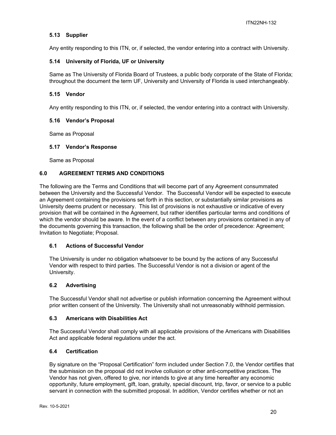## **5.13 Supplier**

Any entity responding to this ITN, or, if selected, the vendor entering into a contract with University.

#### **5.14 University of Florida, UF or University**

Same as The University of Florida Board of Trustees, a public body corporate of the State of Florida; throughout the document the term UF, University and University of Florida is used interchangeably.

#### **5.15 Vendor**

Any entity responding to this ITN, or, if selected, the vendor entering into a contract with University.

#### **5.16 Vendor's Proposal**

Same as Proposal

#### **5.17 Vendor's Response**

Same as Proposal

## **6.0 AGREEMENT TERMS AND CONDITIONS**

The following are the Terms and Conditions that will become part of any Agreement consummated between the University and the Successful Vendor. The Successful Vendor will be expected to execute an Agreement containing the provisions set forth in this section, or substantially similar provisions as University deems prudent or necessary. This list of provisions is not exhaustive or indicative of every provision that will be contained in the Agreement, but rather identifies particular terms and conditions of which the vendor should be aware. In the event of a conflict between any provisions contained in any of the documents governing this transaction, the following shall be the order of precedence: Agreement; Invitation to Negotiate; Proposal.

#### **6.1 Actions of Successful Vendor**

The University is under no obligation whatsoever to be bound by the actions of any Successful Vendor with respect to third parties. The Successful Vendor is not a division or agent of the University.

#### **6.2 Advertising**

The Successful Vendor shall not advertise or publish information concerning the Agreement without prior written consent of the University. The University shall not unreasonably withhold permission.

#### **6.3 Americans with Disabilities Act**

The Successful Vendor shall comply with all applicable provisions of the Americans with Disabilities Act and applicable federal regulations under the act.

#### **6.4 Certification**

By signature on the "Proposal Certification" form included under Section 7.0, the Vendor certifies that the submission on the proposal did not involve collusion or other anti-competitive practices. The Vendor has not given, offered to give, nor intends to give at any time hereafter any economic opportunity, future employment, gift, loan, gratuity, special discount, trip, favor, or service to a public servant in connection with the submitted proposal. In addition, Vendor certifies whether or not an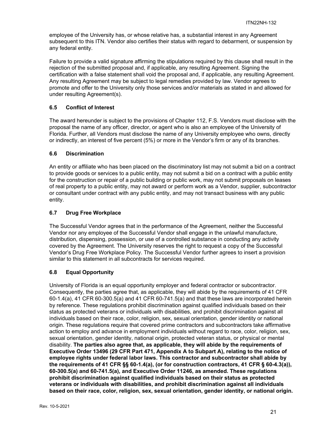employee of the University has, or whose relative has, a substantial interest in any Agreement subsequent to this ITN. Vendor also certifies their status with regard to debarment, or suspension by any federal entity.

Failure to provide a valid signature affirming the stipulations required by this clause shall result in the rejection of the submitted proposal and, if applicable, any resulting Agreement. Signing the certification with a false statement shall void the proposal and, if applicable, any resulting Agreement. Any resulting Agreement may be subject to legal remedies provided by law. Vendor agrees to promote and offer to the University only those services and/or materials as stated in and allowed for under resulting Agreement(s).

## **6.5 Conflict of Interest**

The award hereunder is subject to the provisions of Chapter 112, F.S. Vendors must disclose with the proposal the name of any officer, director, or agent who is also an employee of the University of Florida. Further, all Vendors must disclose the name of any University employee who owns, directly or indirectly, an interest of five percent (5%) or more in the Vendor's firm or any of its branches.

## **6.6 Discrimination**

An entity or affiliate who has been placed on the discriminatory list may not submit a bid on a contract to provide goods or services to a public entity, may not submit a bid on a contract with a public entity for the construction or repair of a public building or public work, may not submit proposals on leases of real property to a public entity, may not award or perform work as a Vendor, supplier, subcontractor or consultant under contract with any public entity, and may not transact business with any public entity.

## **6.7 Drug Free Workplace**

The Successful Vendor agrees that in the performance of the Agreement, neither the Successful Vendor nor any employee of the Successful Vendor shall engage in the unlawful manufacture, distribution, dispensing, possession, or use of a controlled substance in conducting any activity covered by the Agreement. The University reserves the right to request a copy of the Successful Vendor's Drug Free Workplace Policy. The Successful Vendor further agrees to insert a provision similar to this statement in all subcontracts for services required.

## **6.8 Equal Opportunity**

University of Florida is an equal opportunity employer and federal contractor or subcontractor. Consequently, the parties agree that, as applicable, they will abide by the requirements of 41 CFR 60-1.4(a), 41 CFR 60-300.5(a) and 41 CFR 60-741.5(a) and that these laws are incorporated herein by reference. These regulations prohibit discrimination against qualified individuals based on their status as protected veterans or individuals with disabilities, and prohibit discrimination against all individuals based on their race, color, religion, sex, sexual orientation, gender identity or national origin. These regulations require that covered prime contractors and subcontractors take affirmative action to employ and advance in employment individuals without regard to race, color, religion, sex, sexual orientation, gender identity, national origin, protected veteran status, or physical or mental disability. **The parties also agree that, as applicable, they will abide by the requirements of Executive Order 13496 (29 CFR Part 471, Appendix A to Subpart A), relating to the notice of employee rights under federal labor laws. This contractor and subcontractor shall abide by the requirements of 41 CFR §§ 60-1.4(a), (or for construction contractors, 41 CFR § 60-4.3(a)), 60-300.5(a) and 60-741.5(a), and Executive Order 11246, as amended. These regulations prohibit discrimination against qualified individuals based on their status as protected veterans or individuals with disabilities, and prohibit discrimination against all individuals based on their race, color, religion, sex, sexual orientation, gender identity, or national origin.**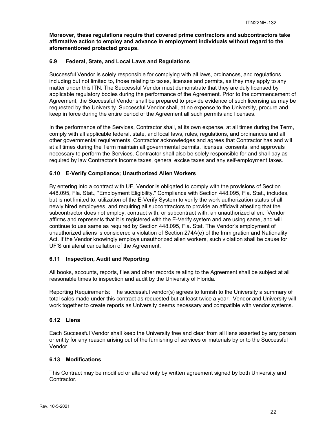**Moreover, these regulations require that covered prime contractors and subcontractors take affirmative action to employ and advance in employment individuals without regard to the aforementioned protected groups.**

## **6.9 Federal, State, and Local Laws and Regulations**

Successful Vendor is solely responsible for complying with all laws, ordinances, and regulations including but not limited to, those relating to taxes, licenses and permits, as they may apply to any matter under this ITN. The Successful Vendor must demonstrate that they are duly licensed by applicable regulatory bodies during the performance of the Agreement. Prior to the commencement of Agreement, the Successful Vendor shall be prepared to provide evidence of such licensing as may be requested by the University. Successful Vendor shall, at no expense to the University, procure and keep in force during the entire period of the Agreement all such permits and licenses.

In the performance of the Services, Contractor shall, at its own expense, at all times during the Term, comply with all applicable federal, state, and local laws, rules, regulations, and ordinances and all other governmental requirements. Contractor acknowledges and agrees that Contractor has and will at all times during the Term maintain all governmental permits, licenses, consents, and approvals necessary to perform the Services. Contractor shall also be solely responsible for and shall pay as required by law Contractor's income taxes, general excise taxes and any self-employment taxes.

## **6.10 E-Verify Compliance; Unauthorized Alien Workers**

By entering into a contract with UF, Vendor is obligated to comply with the provisions of Section 448.095, Fla. Stat., "Employment Eligibility." Compliance with Section 448.095, Fla. Stat., includes, but is not limited to, utilization of the E-Verify System to verify the work authorization status of all newly hired employees, and requiring all subcontractors to provide an affidavit attesting that the subcontractor does not employ, contract with, or subcontract with, an unauthorized alien. Vendor affirms and represents that it is registered with the E-Verify system and are using same, and will continue to use same as required by Section 448.095, Fla. Stat. The Vendor's employment of unauthorized aliens is considered a violation of Section 274A(e) of the Immigration and Nationality Act. If the Vendor knowingly employs unauthorized alien workers, such violation shall be cause for UF'S unilateral cancellation of the Agreement.

#### **6.11 Inspection, Audit and Reporting**

All books, accounts, reports, files and other records relating to the Agreement shall be subject at all reasonable times to inspection and audit by the University of Florida.

Reporting Requirements: The successful vendor(s) agrees to furnish to the University a summary of total sales made under this contract as requested but at least twice a year. Vendor and University will work together to create reports as University deems necessary and compatible with vendor systems.

#### **6.12 Liens**

Each Successful Vendor shall keep the University free and clear from all liens asserted by any person or entity for any reason arising out of the furnishing of services or materials by or to the Successful Vendor.

#### **6.13 Modifications**

This Contract may be modified or altered only by written agreement signed by both University and Contractor.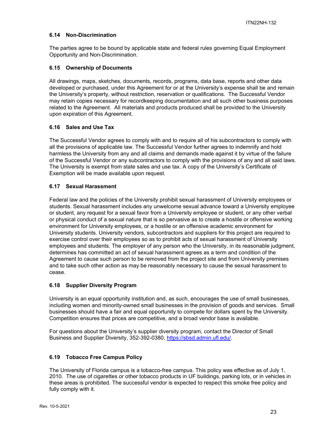## **6.14 Non-Discrimination**

The parties agree to be bound by applicable state and federal rules governing Equal Employment Opportunity and Non-Discrimination.

#### **6.15 Ownership of Documents**

All drawings, maps, sketches, documents, records, programs, data base, reports and other data developed or purchased, under this Agreement for or at the University's expense shall be and remain the University's property, without restriction, reservation or qualifications. The Successful Vendor may retain copies necessary for recordkeeping documentation and all such other business purposes related to the Agreement. All materials and products produced shall be provided to the University upon expiration of this Agreement.

## **6.16 Sales and Use Tax**

The Successful Vendor agrees to comply with and to require all of his subcontractors to comply with all the provisions of applicable law. The Successful Vendor further agrees to indemnify and hold harmless the University from any and all claims and demands made against it by virtue of the failure of the Successful Vendor or any subcontractors to comply with the provisions of any and all said laws. The University is exempt from state sales and use tax. A copy of the University's Certificate of Exemption will be made available upon request.

## **6.17 Sexual Harassment**

Federal law and the policies of the University prohibit sexual harassment of University employees or students. Sexual harassment includes any unwelcome sexual advance toward a University employee or student, any request for a sexual favor from a University employee or student, or any other verbal or physical conduct of a sexual nature that is so pervasive as to create a hostile or offensive working environment for University employees, or a hostile or an offensive academic environment for University students. University vendors, subcontractors and suppliers for this project are required to exercise control over their employees so as to prohibit acts of sexual harassment of University employees and students. The employer of any person who the University, in its reasonable judgment, determines has committed an act of sexual harassment agrees as a term and condition of the Agreement to cause such person to be removed from the project site and from University premises and to take such other action as may be reasonably necessary to cause the sexual harassment to cease.

## **6.18 Supplier Diversity Program**

University is an equal opportunity institution and, as such, encourages the use of small businesses, including women and minority-owned small businesses in the provision of goods and services. Small businesses should have a fair and equal opportunity to compete for dollars spent by the University. Competition ensures that prices are competitive, and a broad vendor base is available.

For questions about the University's supplier diversity program, contact the Director of Small Business and Supplier Diversity, 352-392-0380, https://sbsd.admin.ufl.edu/.

#### **6.19 Tobacco Free Campus Policy**

The University of Florida campus is a tobacco-free campus. This policy was effective as of July 1, 2010. The use of cigarettes or other tobacco products in UF buildings, parking lots, or in vehicles in these areas is prohibited. The successful vendor is expected to respect this smoke free policy and fully comply with it.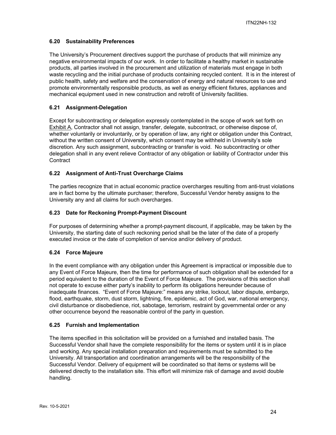## **6.20 Sustainability Preferences**

The University's Procurement directives support the purchase of products that will minimize any negative environmental impacts of our work. In order to facilitate a healthy market in sustainable products, all parties involved in the procurement and utilization of materials must engage in both waste recycling and the initial purchase of products containing recycled content. It is in the interest of public health, safety and welfare and the conservation of energy and natural resources to use and promote environmentally responsible products, as well as energy efficient fixtures, appliances and mechanical equipment used in new construction and retrofit of University facilities.

## **6.21 Assignment-Delegation**

Except for subcontracting or delegation expressly contemplated in the scope of work set forth on Exhibit A, Contractor shall not assign, transfer, delegate, subcontract, or otherwise dispose of, whether voluntarily or involuntarily, or by operation of law, any right or obligation under this Contract, without the written consent of University, which consent may be withheld in University's sole discretion. Any such assignment, subcontracting or transfer is void. No subcontracting or other delegation shall in any event relieve Contractor of any obligation or liability of Contractor under this **Contract** 

## **6.22 Assignment of Anti-Trust Overcharge Claims**

The parties recognize that in actual economic practice overcharges resulting from anti-trust violations are in fact borne by the ultimate purchaser; therefore, Successful Vendor hereby assigns to the University any and all claims for such overcharges.

## **6.23 Date for Reckoning Prompt-Payment Discount**

For purposes of determining whether a prompt-payment discount, if applicable, may be taken by the University, the starting date of such reckoning period shall be the later of the date of a properly executed invoice or the date of completion of service and/or delivery of product.

## **6.24 Force Majeure**

In the event compliance with any obligation under this Agreement is impractical or impossible due to any Event of Force Majeure, then the time for performance of such obligation shall be extended for a period equivalent to the duration of the Event of Force Majeure. The provisions of this section shall not operate to excuse either party's inability to perform its obligations hereunder because of inadequate finances. "Event of Force Majeure:" means any strike, lockout, labor dispute, embargo, flood, earthquake, storm, dust storm, lightning, fire, epidemic, act of God, war, national emergency, civil disturbance or disobedience, riot, sabotage, terrorism, restraint by governmental order or any other occurrence beyond the reasonable control of the party in question.

## **6.25 Furnish and Implementation**

The items specified in this solicitation will be provided on a furnished and installed basis. The Successful Vendor shall have the complete responsibility for the items or system until it is in place and working. Any special installation preparation and requirements must be submitted to the University. All transportation and coordination arrangements will be the responsibility of the Successful Vendor. Delivery of equipment will be coordinated so that items or systems will be delivered directly to the installation site. This effort will minimize risk of damage and avoid double handling.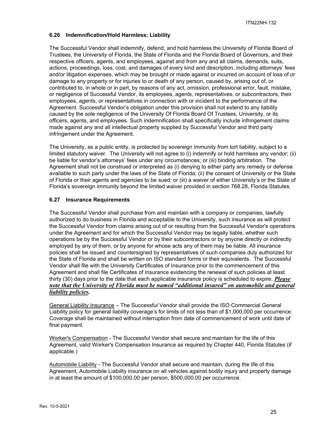## **6.26 Indemnification/Hold Harmless; Liability**

The Successful Vendor shall indemnify, defend, and hold harmless the University of Florida Board of Trustees, the University of Florida, the State of Florida and the Florida Board of Governors, and their respective officers, agents, and employees, against and from any and all claims, demands, suits, actions, proceedings, loss, cost, and damages of every kind and description, including attorneys' fees and/or litigation expenses, which may be brought or made against or incurred on account of loss of or damage to any property or for injuries to or death of any person, caused by, arising out of, or contributed to, in whole or in part, by reasons of any act, omission, professional error, fault, mistake, or negligence of Successful Vendor, its employees, agents, representatives, or subcontractors, their employees, agents, or representatives in connection with or incident to the performance of the Agreement. Successful Vendor's obligation under this provision shall not extend to any liability caused by the sole negligence of the University Of Florida Board Of Trustees, University, or its officers, agents, and employees. Such indemnification shall specifically include infringement claims made against any and all intellectual property supplied by Successful Vendor and third party infringement under the Agreement.

The University, as a public entity, is protected by sovereign immunity from tort liability, subject to a limited statutory waiver. The University will not agree to (i) indemnify or hold harmless any vendor; (ii) be liable for vendor's attorneys' fees under any circumstances; or (iii) binding arbitration. The Agreement shall not be construed or interpreted as (i) denying to either party any remedy or defense available to such party under the laws of the State of Florida; (ii) the consent of University or the State of Florida or their agents and agencies to be sued; or (iii) a waiver of either University's or the State of Florida's sovereign immunity beyond the limited waiver provided in section 768.28, Florida Statutes.

## **6.27 Insurance Requirements**

The Successful Vendor shall purchase from and maintain with a company or companies, lawfully authorized to do business in Florida and acceptable to the University, such insurance as will protect the Successful Vendor from claims arising out of or resulting from the Successful Vendor's operations under the Agreement and for which the Successful Vendor may be legally liable, whether such operations be by the Successful Vendor or by their subcontractors or by anyone directly or indirectly employed by any of them, or by anyone for whose acts any of them may be liable. All insurance policies shall be issued and countersigned by representatives of such companies duly authorized for the State of Florida and shall be written on ISO standard forms or their equivalents. The Successful Vendor shall file with the University Certificates of Insurance prior to the commencement of this Agreement and shall file Certificates of Insurance evidencing the renewal of such policies at least thirty (30) days prior to the date that each applicable insurance policy is scheduled to expire. *Please note that the University of Florida must be named "additional insured" on automobile and general liability policies.*

General Liability Insurance – The Successful Vendor shall provide the ISO Commercial General Liability policy for general liability coverage's for limits of not less than of \$1,000,000 per occurrence. Coverage shall be maintained without interruption from date of commencement of work until date of final payment.

Worker's Compensation - The Successful Vendor shall secure and maintain for the life of this Agreement, valid Worker's Compensation Insurance as required by Chapter 440, Florida Statutes (if applicable.)

Automobile Liability - The Successful Vendor shall secure and maintain, during the life of this Agreement, Automobile Liability insurance on all vehicles against bodily injury and property damage in at least the amount of \$100,000.00 per person, \$500,000.00 per occurrence.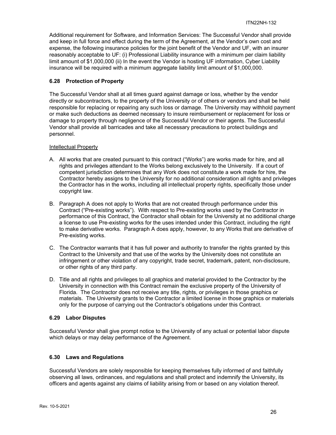Additional requirement for Software, and Information Services: The Successful Vendor shall provide and keep in full force and effect during the term of the Agreement, at the Vendor's own cost and expense, the following insurance policies for the joint benefit of the Vendor and UF, with an insurer reasonably acceptable to UF: (i) Professional Liability insurance with a minimum per claim liability limit amount of \$1,000,000 (ii) In the event the Vendor is hosting UF information, Cyber Liability insurance will be required with a minimum aggregate liability limit amount of \$1,000,000.

## **6.28 Protection of Property**

The Successful Vendor shall at all times guard against damage or loss, whether by the vendor directly or subcontractors, to the property of the University or of others or vendors and shall be held responsible for replacing or repairing any such loss or damage. The University may withhold payment or make such deductions as deemed necessary to insure reimbursement or replacement for loss or damage to property through negligence of the Successful Vendor or their agents. The Successful Vendor shall provide all barricades and take all necessary precautions to protect buildings and personnel.

## Intellectual Property

- A. All works that are created pursuant to this contract ("Works") are works made for hire, and all rights and privileges attendant to the Works belong exclusively to the University. If a court of competent jurisdiction determines that any Work does not constitute a work made for hire, the Contractor hereby assigns to the University for no additional consideration all rights and privileges the Contractor has in the works, including all intellectual property rights, specifically those under copyright law.
- B. Paragraph A does not apply to Works that are not created through performance under this Contract ("Pre-existing works"). With respect to Pre-existing works used by the Contractor in performance of this Contract, the Contractor shall obtain for the University at no additional charge a license to use Pre-existing works for the uses intended under this Contract, including the right to make derivative works. Paragraph A does apply, however, to any Works that are derivative of Pre-existing works.
- C. The Contractor warrants that it has full power and authority to transfer the rights granted by this Contract to the University and that use of the works by the University does not constitute an infringement or other violation of any copyright, trade secret, trademark, patent, non-disclosure, or other rights of any third party.
- D. Title and all rights and privileges to all graphics and material provided to the Contractor by the University in connection with this Contract remain the exclusive property of the University of Florida. The Contractor does not receive any title, rights, or privileges in those graphics or materials. The University grants to the Contractor a limited license in those graphics or materials only for the purpose of carrying out the Contractor's obligations under this Contract.

## **6.29 Labor Disputes**

Successful Vendor shall give prompt notice to the University of any actual or potential labor dispute which delays or may delay performance of the Agreement.

## **6.30 Laws and Regulations**

Successful Vendors are solely responsible for keeping themselves fully informed of and faithfully observing all laws, ordinances, and regulations and shall protect and indemnify the University, its officers and agents against any claims of liability arising from or based on any violation thereof.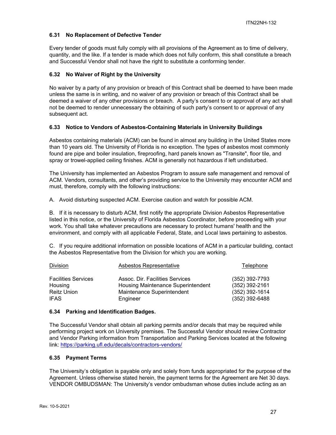## **6.31 No Replacement of Defective Tender**

Every tender of goods must fully comply with all provisions of the Agreement as to time of delivery, quantity, and the like. If a tender is made which does not fully conform, this shall constitute a breach and Successful Vendor shall not have the right to substitute a conforming tender.

## **6.32 No Waiver of Right by the University**

No waiver by a party of any provision or breach of this Contract shall be deemed to have been made unless the same is in writing, and no waiver of any provision or breach of this Contract shall be deemed a waiver of any other provisions or breach. A party's consent to or approval of any act shall not be deemed to render unnecessary the obtaining of such party's consent to or approval of any subsequent act.

## **6.33 Notice to Vendors of Asbestos-Containing Materials in University Buildings**

Asbestos containing materials (ACM) can be found in almost any building in the United States more than 10 years old. The University of Florida is no exception. The types of asbestos most commonly found are pipe and boiler insulation, fireproofing, hard panels known as "Transite", floor tile, and spray or trowel-applied ceiling finishes. ACM is generally not hazardous if left undisturbed.

The University has implemented an Asbestos Program to assure safe management and removal of ACM. Vendors, consultants, and other's providing service to the University may encounter ACM and must, therefore, comply with the following instructions:

A. Avoid disturbing suspected ACM. Exercise caution and watch for possible ACM.

B. If it is necessary to disturb ACM, first notify the appropriate Division Asbestos Representative listed in this notice, or the University of Florida Asbestos Coordinator, before proceeding with your work. You shall take whatever precautions are necessary to protect humans' health and the environment, and comply with all applicable Federal, State, and Local laws pertaining to asbestos.

C. If you require additional information on possible locations of ACM in a particular building, contact the Asbestos Representative from the Division for which you are working.

| <b>Division</b>            | Asbestos Representative            | Telephone        |
|----------------------------|------------------------------------|------------------|
| <b>Facilities Services</b> | Assoc. Dir. Facilities Services    | (352) 392-7793   |
| Housing                    | Housing Maintenance Superintendent | (352) 392-2161   |
| <b>Reitz Union</b>         | Maintenance Superintendent         | $(352)$ 392-1614 |
| <b>IFAS</b>                | Engineer                           | $(352)$ 392-6488 |

#### **6.34 Parking and Identification Badges.**

The Successful Vendor shall obtain all parking permits and/or decals that may be required while performing project work on University premises. The Successful Vendor should review Contractor and Vendor Parking information from Transportation and Parking Services located at the following link: https://parking.ufl.edu/decals/contractors-vendors/

#### **6.35 Payment Terms**

The University's obligation is payable only and solely from funds appropriated for the purpose of the Agreement. Unless otherwise stated herein, the payment terms for the Agreement are Net 30 days. VENDOR OMBUDSMAN: The University's vendor ombudsman whose duties include acting as an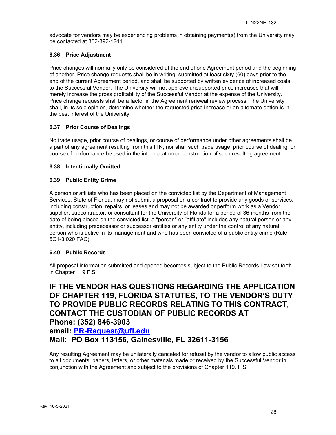advocate for vendors may be experiencing problems in obtaining payment(s) from the University may be contacted at 352-392-1241.

## **6.36 Price Adjustment**

Price changes will normally only be considered at the end of one Agreement period and the beginning of another. Price change requests shall be in writing, submitted at least sixty (60) days prior to the end of the current Agreement period, and shall be supported by written evidence of increased costs to the Successful Vendor. The University will not approve unsupported price increases that will merely increase the gross profitability of the Successful Vendor at the expense of the University. Price change requests shall be a factor in the Agreement renewal review process. The University shall, in its sole opinion, determine whether the requested price increase or an alternate option is in the best interest of the University.

## **6.37 Prior Course of Dealings**

No trade usage, prior course of dealings, or course of performance under other agreements shall be a part of any agreement resulting from this ITN; nor shall such trade usage, prior course of dealing, or course of performance be used in the interpretation or construction of such resulting agreement.

## **6.38 Intentionally Omitted**

## **6.39 Public Entity Crime**

A person or affiliate who has been placed on the convicted list by the Department of Management Services, State of Florida, may not submit a proposal on a contract to provide any goods or services, including construction, repairs, or leases and may not be awarded or perform work as a Vendor, supplier, subcontractor, or consultant for the University of Florida for a period of 36 months from the date of being placed on the convicted list, a "person" or "affiliate" includes any natural person or any entity, including predecessor or successor entities or any entity under the control of any natural person who is active in its management and who has been convicted of a public entity crime (Rule 6C1-3.020 FAC).

## **6.40 Public Records**

All proposal information submitted and opened becomes subject to the Public Records Law set forth in Chapter 119 F.S.

**IF THE VENDOR HAS QUESTIONS REGARDING THE APPLICATION OF CHAPTER 119, FLORIDA STATUTES, TO THE VENDOR'S DUTY TO PROVIDE PUBLIC RECORDS RELATING TO THIS CONTRACT, CONTACT THE CUSTODIAN OF PUBLIC RECORDS AT Phone: (352) 846-3903 email: PR-Request@ufl.edu Mail: PO Box 113156, Gainesville, FL 32611-3156**

Any resulting Agreement may be unilaterally canceled for refusal by the vendor to allow public access to all documents, papers, letters, or other materials made or received by the Successful Vendor in conjunction with the Agreement and subject to the provisions of Chapter 119. F.S.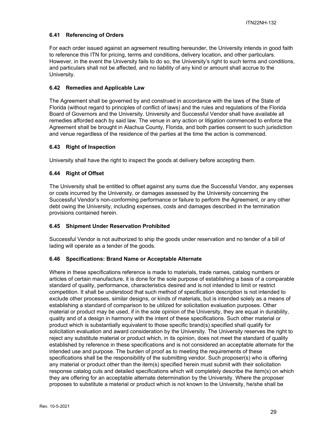## **6.41 Referencing of Orders**

For each order issued against an agreement resulting hereunder, the University intends in good faith to reference this ITN for pricing, terms and conditions, delivery location, and other particulars. However, in the event the University fails to do so, the University's right to such terms and conditions, and particulars shall not be affected, and no liability of any kind or amount shall accrue to the University.

## **6.42 Remedies and Applicable Law**

The Agreement shall be governed by and construed in accordance with the laws of the State of Florida (without regard to principles of conflict of laws) and the rules and regulations of the Florida Board of Governors and the University. University and Successful Vendor shall have available all remedies afforded each by said law. The venue in any action or litigation commenced to enforce the Agreement shall be brought in Alachua County, Florida, and both parties consent to such jurisdiction and venue regardless of the residence of the parties at the time the action is commenced.

## **6.43 Right of Inspection**

University shall have the right to inspect the goods at delivery before accepting them.

## **6.44 Right of Offset**

The University shall be entitled to offset against any sums due the Successful Vendor, any expenses or costs incurred by the University, or damages assessed by the University concerning the Successful Vendor's non-conforming performance or failure to perform the Agreement, or any other debt owing the University, including expenses, costs and damages described in the termination provisions contained herein.

## **6.45 Shipment Under Reservation Prohibited**

Successful Vendor is not authorized to ship the goods under reservation and no tender of a bill of lading will operate as a tender of the goods.

#### **6.46 Specifications: Brand Name or Acceptable Alternate**

Where in these specifications reference is made to materials, trade names, catalog numbers or articles of certain manufacture, it is done for the sole purpose of establishing a basis of a comparable standard of quality, performance, characteristics desired and is not intended to limit or restrict competition. It shall be understood that such method of specification description is not intended to exclude other processes, similar designs, or kinds of materials, but is intended solely as a means of establishing a standard of comparison to be utilized for solicitation evaluation purposes. Other material or product may be used, if in the sole opinion of the University, they are equal in durability, quality and of a design in harmony with the intent of these specifications. Such other material or product which is substantially equivalent to those specific brand(s) specified shall qualify for solicitation evaluation and award consideration by the University. The University reserves the right to reject any substitute material or product which, in its opinion, does not meet the standard of quality established by reference in these specifications and is not considered an acceptable alternate for the intended use and purpose. The burden of proof as to meeting the requirements of these specifications shall be the responsibility of the submitting vendor. Such proposer(s) who is offering any material or product other than the item(s) specified herein must submit with their solicitation response catalog cuts and detailed specifications which will completely describe the item(s) on which they are offering for an acceptable alternate determination by the University. Where the proposer proposes to substitute a material or product which is not known to the University, he/she shall be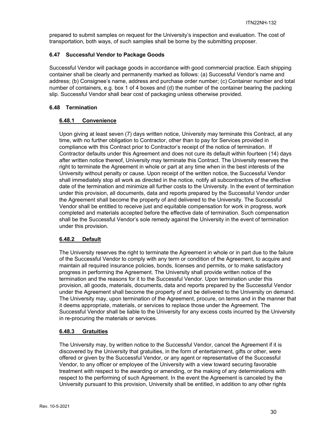prepared to submit samples on request for the University's inspection and evaluation. The cost of transportation, both ways, of such samples shall be borne by the submitting proposer.

## **6.47 Successful Vendor to Package Goods**

Successful Vendor will package goods in accordance with good commercial practice. Each shipping container shall be clearly and permanently marked as follows: (a) Successful Vendor's name and address; (b) Consignee's name, address and purchase order number; (c) Container number and total number of containers, e.g. box 1 of 4 boxes and (d) the number of the container bearing the packing slip. Successful Vendor shall bear cost of packaging unless otherwise provided.

## **6.48 Termination**

## **6.48.1 Convenience**

Upon giving at least seven (7) days written notice, University may terminate this Contract, at any time, with no further obligation to Contractor, other than to pay for Services provided in compliance with this Contract prior to Contractor's receipt of the notice of termination. If Contractor defaults under this Agreement and does not cure its default within fourteen (14) days after written notice thereof, University may terminate this Contract. The University reserves the right to terminate the Agreement in whole or part at any time when in the best interests of the University without penalty or cause. Upon receipt of the written notice, the Successful Vendor shall immediately stop all work as directed in the notice, notify all subcontractors of the effective date of the termination and minimize all further costs to the University. In the event of termination under this provision, all documents, data and reports prepared by the Successful Vendor under the Agreement shall become the property of and delivered to the University. The Successful Vendor shall be entitled to receive just and equitable compensation for work in progress, work completed and materials accepted before the effective date of termination. Such compensation shall be the Successful Vendor's sole remedy against the University in the event of termination under this provision.

## **6.48.2 Default**

The University reserves the right to terminate the Agreement in whole or in part due to the failure of the Successful Vendor to comply with any term or condition of the Agreement, to acquire and maintain all required insurance policies, bonds, licenses and permits, or to make satisfactory progress in performing the Agreement. The University shall provide written notice of the termination and the reasons for it to the Successful Vendor. Upon termination under this provision, all goods, materials, documents, data and reports prepared by the Successful Vendor under the Agreement shall become the property of and be delivered to the University on demand. The University may, upon termination of the Agreement, procure, on terms and in the manner that it deems appropriate, materials, or services to replace those under the Agreement. The Successful Vendor shall be liable to the University for any excess costs incurred by the University in re-procuring the materials or services.

#### **6.48.3 Gratuities**

The University may, by written notice to the Successful Vendor, cancel the Agreement if it is discovered by the University that gratuities, in the form of entertainment, gifts or other, were offered or given by the Successful Vendor, or any agent or representative of the Successful Vendor, to any officer or employee of the University with a view toward securing favorable treatment with respect to the awarding or amending, or the making of any determinations with respect to the performing of such Agreement. In the event the Agreement is canceled by the University pursuant to this provision, University shall be entitled, in addition to any other rights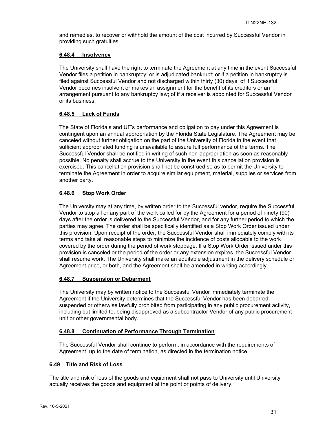and remedies, to recover or withhold the amount of the cost incurred by Successful Vendor in providing such gratuities.

## **6.48.4 Insolvency**

The University shall have the right to terminate the Agreement at any time in the event Successful Vendor files a petition in bankruptcy; or is adjudicated bankrupt; or if a petition in bankruptcy is filed against Successful Vendor and not discharged within thirty (30) days; of if Successful Vendor becomes insolvent or makes an assignment for the benefit of its creditors or an arrangement pursuant to any bankruptcy law; of if a receiver is appointed for Successful Vendor or its business.

## **6.48.5 Lack of Funds**

The State of Florida's and UF's performance and obligation to pay under this Agreement is contingent upon an annual appropriation by the Florida State Legislature. The Agreement may be canceled without further obligation on the part of the University of Florida in the event that sufficient appropriated funding is unavailable to assure full performance of the terms. The Successful Vendor shall be notified in writing of such non-appropriation as soon as reasonably possible. No penalty shall accrue to the University in the event this cancellation provision is exercised. This cancellation provision shall not be construed so as to permit the University to terminate the Agreement in order to acquire similar equipment, material, supplies or services from another party.

## **6.48.6 Stop Work Order**

The University may at any time, by written order to the Successful vendor, require the Successful Vendor to stop all or any part of the work called for by the Agreement for a period of ninety (90) days after the order is delivered to the Successful Vendor, and for any further period to which the parties may agree. The order shall be specifically identified as a Stop Work Order issued under this provision. Upon receipt of the order, the Successful Vendor shall immediately comply with its terms and take all reasonable steps to minimize the incidence of costs allocable to the work covered by the order during the period of work stoppage. If a Stop Work Order issued under this provision is canceled or the period of the order or any extension expires, the Successful Vendor shall resume work. The University shall make an equitable adjustment in the delivery schedule or Agreement price, or both, and the Agreement shall be amended in writing accordingly.

## **6.48.7 Suspension or Debarment**

The University may by written notice to the Successful Vendor immediately terminate the Agreement if the University determines that the Successful Vendor has been debarred, suspended or otherwise lawfully prohibited from participating in any public procurement activity, including but limited to, being disapproved as a subcontractor Vendor of any public procurement unit or other governmental body.

## **6.48.8 Continuation of Performance Through Termination**

The Successful Vendor shall continue to perform, in accordance with the requirements of Agreement, up to the date of termination, as directed in the termination notice.

## **6.49 Title and Risk of Loss**

The title and risk of loss of the goods and equipment shall not pass to University until University actually receives the goods and equipment at the point or points of delivery.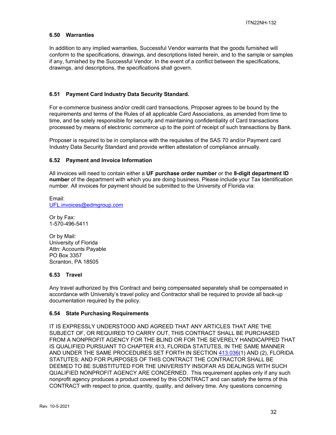#### **6.50 Warranties**

In addition to any implied warranties, Successful Vendor warrants that the goods furnished will conform to the specifications, drawings, and descriptions listed herein, and to the sample or samples if any, furnished by the Successful Vendor. In the event of a conflict between the specifications, drawings, and descriptions, the specifications shall govern.

#### **6.51 Payment Card Industry Data Security Standard.**

For e-commerce business and/or credit card transactions, Proposer agrees to be bound by the requirements and terms of the Rules of all applicable Card Associations, as amended from time to time, and be solely responsible for security and maintaining confidentiality of Card transactions processed by means of electronic commerce up to the point of receipt of such transactions by Bank.

Proposer is required to be in compliance with the requisites of the SAS 70 and/or Payment card Industry Data Security Standard and provide written attestation of compliance annually.

#### **6.52 Payment and Invoice Information**

All invoices will need to contain either a **UF purchase order number** or the **8-digit department ID number** of the department with which you are doing business. Please include your Tax Identification number. All invoices for payment should be submitted to the University of Florida via:

Email: UFL.invoices@edmgroup.com

Or by Fax: 1-570-496-5411

Or by Mail: University of Florida Attn: Accounts Payable PO Box 3357 Scranton, PA 18505

## **6.53 Travel**

Any travel authorized by this Contract and being compensated separately shall be compensated in accordance with University's travel policy and Contractor shall be required to provide all back-up documentation required by the policy.

#### **6.54 State Purchasing Requirements**

IT IS EXPRESSLY UNDERSTOOD AND AGREED THAT ANY ARTICLES THAT ARE THE SUBJECT OF, OR REQUIRED TO CARRY OUT, THIS CONTRACT SHALL BE PURCHASED FROM A NONPROFIT AGENCY FOR THE BLIND OR FOR THE SEVERELY HANDICAPPED THAT IS QUALIFIED PURSUANT TO CHAPTER 413, FLORIDA STATUTES, IN THE SAME MANNER AND UNDER THE SAME PROCEDURES SET FORTH IN SECTION 413.036(1) AND (2), FLORIDA STATUTES; AND FOR PURPOSES OF THIS CONTRACT THE CONTRACTOR SHALL BE DEEMED TO BE SUBSTITUTED FOR THE UNIVERISTY INSOFAR AS DEALINGS WITH SUCH QUALIFIED NONPROFIT AGENCY ARE CONCERNED. This requirement applies only if any such nonprofit agency produces a product covered by this CONTRACT and can satisfy the terms of this CONTRACT with respect to price, quantity, quality, and delivery time. Any questions concerning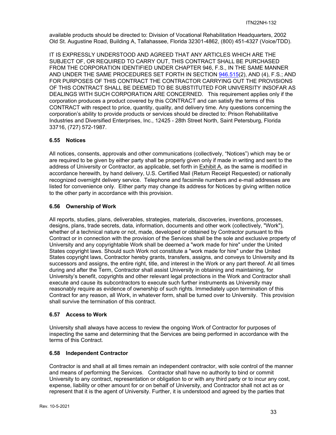available products should be directed to: Division of Vocational Rehabilitation Headquarters, 2002 Old St. Augustine Road, Building A, Tallahassee, Florida 32301-4862, (800) 451-4327 (Voice/TDD).

IT IS EXPRESSLY UNDERSTOOD AND AGREED THAT ANY ARTICLES WHICH ARE THE SUBJECT OF, OR REQUIRED TO CARRY OUT, THIS CONTRACT SHALL BE PURCHASED FROM THE CORPORATION IDENTIFIED UNDER CHAPTER 946, F.S., IN THE SAME MANNER AND UNDER THE SAME PROCEDURES SET FORTH IN SECTION 946.515(2), AND (4), F.S.; AND FOR PURPOSES OF THIS CONTRACT THE CONTRACTOR CARRYING OUT THE PROVISIONS OF THIS CONTRACT SHALL BE DEEMED TO BE SUBSTITUTED FOR UNIVERSITY INSOFAR AS DEALINGS WITH SUCH CORPORATION ARE CONCERNED. This requirement applies only if the corporation produces a product covered by this CONTRACT and can satisfy the terms of this CONTRACT with respect to price, quantity, quality, and delivery time. Any questions concerning the corporation's ability to provide products or services should be directed to: Prison Rehabilitative Industries and Diversified Enterprises, Inc., 12425 - 28th Street North, Saint Petersburg, Florida 33716, (727) 572-1987.

## **6.55 Notices**

All notices, consents, approvals and other communications (collectively, "Notices") which may be or are required to be given by either party shall be properly given only if made in writing and sent to the address of University or Contractor, as applicable, set forth in Exhibit A, as the same is modified in accordance herewith, by hand delivery, U.S. Certified Mail (Return Receipt Requested) or nationally recognized overnight delivery service. Telephone and facsimile numbers and e-mail addresses are listed for convenience only. Either party may change its address for Notices by giving written notice to the other party in accordance with this provision.

## **6.56 Ownership of Work**

All reports, studies, plans, deliverables, strategies, materials, discoveries, inventions, processes, designs, plans, trade secrets, data, information, documents and other work (collectively, "Work"), whether of a technical nature or not, made, developed or obtained by Contractor pursuant to this Contract or in connection with the provision of the Services shall be the sole and exclusive property of University and any copyrightable Work shall be deemed a "work made for hire" under the United States copyright laws. Should such Work not constitute a "work made for hire" under the United States copyright laws, Contractor hereby grants, transfers, assigns, and conveys to University and its successors and assigns, the entire right, title, and interest in the Work or any part thereof. At all times during and after the Term, Contractor shall assist University in obtaining and maintaining, for University's benefit, copyrights and other relevant legal protections in the Work and Contractor shall execute and cause its subcontractors to execute such further instruments as University may reasonably require as evidence of ownership of such rights. Immediately upon termination of this Contract for any reason, all Work, in whatever form, shall be turned over to University. This provision shall survive the termination of this contract.

## **6.57 Access to Work**

University shall always have access to review the ongoing Work of Contractor for purposes of inspecting the same and determining that the Services are being performed in accordance with the terms of this Contract.

## **6.58 Independent Contractor**

Contractor is and shall at all times remain an independent contractor, with sole control of the manner and means of performing the Services. Contractor shall have no authority to bind or commit University to any contract, representation or obligation to or with any third party or to incur any cost, expense, liability or other amount for or on behalf of University, and Contractor shall not act as or represent that it is the agent of University. Further, it is understood and agreed by the parties that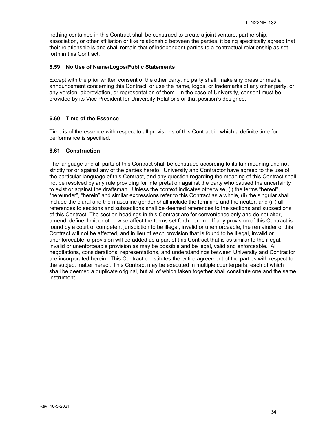nothing contained in this Contract shall be construed to create a joint venture, partnership, association, or other affiliation or like relationship between the parties, it being specifically agreed that their relationship is and shall remain that of independent parties to a contractual relationship as set forth in this Contract.

## **6.59 No Use of Name/Logos/Public Statements**

Except with the prior written consent of the other party, no party shall, make any press or media announcement concerning this Contract, or use the name, logos, or trademarks of any other party, or any version, abbreviation, or representation of them. In the case of University, consent must be provided by its Vice President for University Relations or that position's designee.

## **6.60 Time of the Essence**

Time is of the essence with respect to all provisions of this Contract in which a definite time for performance is specified.

## **6.61 Construction**

The language and all parts of this Contract shall be construed according to its fair meaning and not strictly for or against any of the parties hereto. University and Contractor have agreed to the use of the particular language of this Contract, and any question regarding the meaning of this Contract shall not be resolved by any rule providing for interpretation against the party who caused the uncertainty to exist or against the draftsman. Unless the context indicates otherwise, (i) the terms "hereof", "hereunder", "herein" and similar expressions refer to this Contract as a whole, (ii) the singular shall include the plural and the masculine gender shall include the feminine and the neuter, and (iii) all references to sections and subsections shall be deemed references to the sections and subsections of this Contract. The section headings in this Contract are for convenience only and do not alter, amend, define, limit or otherwise affect the terms set forth herein. If any provision of this Contract is found by a court of competent jurisdiction to be illegal, invalid or unenforceable, the remainder of this Contract will not be affected, and in lieu of each provision that is found to be illegal, invalid or unenforceable, a provision will be added as a part of this Contract that is as similar to the illegal, invalid or unenforceable provision as may be possible and be legal, valid and enforceable. All negotiations, considerations, representations, and understandings between University and Contractor are incorporated herein. This Contract constitutes the entire agreement of the parties with respect to the subject matter hereof. This Contract may be executed in multiple counterparts, each of which shall be deemed a duplicate original, but all of which taken together shall constitute one and the same instrument.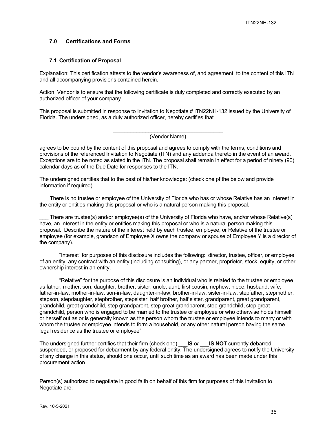## **7.0 Certifications and Forms**

#### **7.1 Certification of Proposal**

Explanation: This certification attests to the vendor's awareness of, and agreement, to the content of this ITN and all accompanying provisions contained herein.

Action: Vendor is to ensure that the following certificate is duly completed and correctly executed by an authorized officer of your company.

This proposal is submitted in response to Invitation to Negotiate # ITN22NH-132 issued by the University of Florida. The undersigned, as a duly authorized officer, hereby certifies that

(Vendor Name)

agrees to be bound by the content of this proposal and agrees to comply with the terms, conditions and provisions of the referenced Invitation to Negotiate (ITN) and any addenda thereto in the event of an award. Exceptions are to be noted as stated in the ITN. The proposal shall remain in effect for a period of ninety (90) calendar days as of the Due Date for responses to the ITN.

The undersigned certifies that to the best of his/her knowledge: (check one pf the below and provide information if required)

There is no trustee or employee of the University of Florida who has or whose Relative has an Interest in the entity or entities making this proposal or who is a natural person making this proposal.

There are trustee(s) and/or employee(s) of the University of Florida who have, and/or whose Relative(s) have, an Interest in the entity or entities making this proposal or who is a natural person making this proposal. Describe the nature of the interest held by each trustee, employee, or Relative of the trustee or employee (for example, grandson of Employee X owns the company or spouse of Employee Y is a director of the company).

"Interest" for purposes of this disclosure includes the following: director, trustee, officer, or employee of an entity, any contract with an entity (including consulting), or any partner, proprietor, stock, equity, or other ownership interest in an entity.

"Relative" for the purpose of this disclosure is an individual who is related to the trustee or employee as father, mother, son, daughter, brother, sister, uncle, aunt, first cousin, nephew, niece, husband, wife, father-in-law, mother-in-law, son-in-law, daughter-in-law, brother-in-law, sister-in-law, stepfather, stepmother, stepson, stepdaughter, stepbrother, stepsister, half brother, half sister, grandparent, great grandparent, grandchild, great grandchild, step grandparent, step great grandparent, step grandchild, step great grandchild, person who is engaged to be married to the trustee or employee or who otherwise holds himself or herself out as or is generally known as the person whom the trustee or employee intends to marry or with whom the trustee or employee intends to form a household, or any other natural person having the same legal residence as the trustee or employee"

The undersigned further certifies that their firm (check one) \_\_\_**IS** *or* \_\_\_**IS NOT** currently debarred, suspended, or proposed for debarment by any federal entity. The undersigned agrees to notify the University of any change in this status, should one occur, until such time as an award has been made under this procurement action.

Person(s) authorized to negotiate in good faith on behalf of this firm for purposes of this Invitation to Negotiate are: